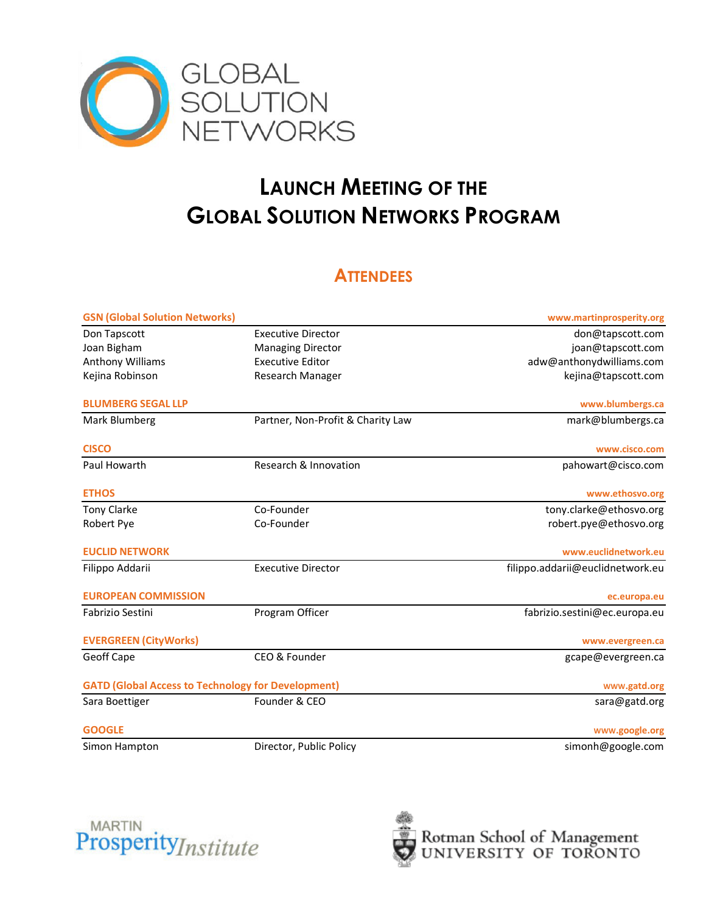

## **LAUNCH MEETING OF THE GLOBAL SOLUTION NETWORKS PROGRAM**

## **ATTENDEES**

| <b>GSN (Global Solution Networks)</b>                     |                                   | www.martinprosperity.org         |
|-----------------------------------------------------------|-----------------------------------|----------------------------------|
| Don Tapscott                                              | <b>Executive Director</b>         | don@tapscott.com                 |
| Joan Bigham                                               | <b>Managing Director</b>          | joan@tapscott.com                |
| Anthony Williams                                          | <b>Executive Editor</b>           | adw@anthonydwilliams.com         |
| Kejina Robinson                                           | Research Manager                  | kejina@tapscott.com              |
| <b>BLUMBERG SEGAL LLP</b>                                 |                                   | www.blumbergs.ca                 |
| Mark Blumberg                                             | Partner, Non-Profit & Charity Law | mark@blumbergs.ca                |
| <b>CISCO</b>                                              |                                   | www.cisco.com                    |
| Paul Howarth                                              | Research & Innovation             | pahowart@cisco.com               |
| <b>ETHOS</b>                                              |                                   | www.ethosvo.org                  |
| <b>Tony Clarke</b>                                        | Co-Founder                        | tony.clarke@ethosvo.org          |
| Robert Pye                                                | Co-Founder                        | robert.pye@ethosvo.org           |
| <b>EUCLID NETWORK</b>                                     |                                   | www.euclidnetwork.eu             |
| Filippo Addarii                                           | <b>Executive Director</b>         | filippo.addarii@euclidnetwork.eu |
| <b>EUROPEAN COMMISSION</b>                                |                                   | ec.europa.eu                     |
| <b>Fabrizio Sestini</b>                                   | Program Officer                   | fabrizio.sestini@ec.europa.eu    |
| <b>EVERGREEN (CityWorks)</b>                              |                                   | www.evergreen.ca                 |
| Geoff Cape                                                | CEO & Founder                     | gcape@evergreen.ca               |
| <b>GATD (Global Access to Technology for Development)</b> |                                   | www.gatd.org                     |
| Sara Boettiger                                            | Founder & CEO                     | sara@gatd.org                    |
| <b>GOOGLE</b>                                             |                                   | www.google.org                   |
| Simon Hampton                                             | Director, Public Policy           | simonh@google.com                |



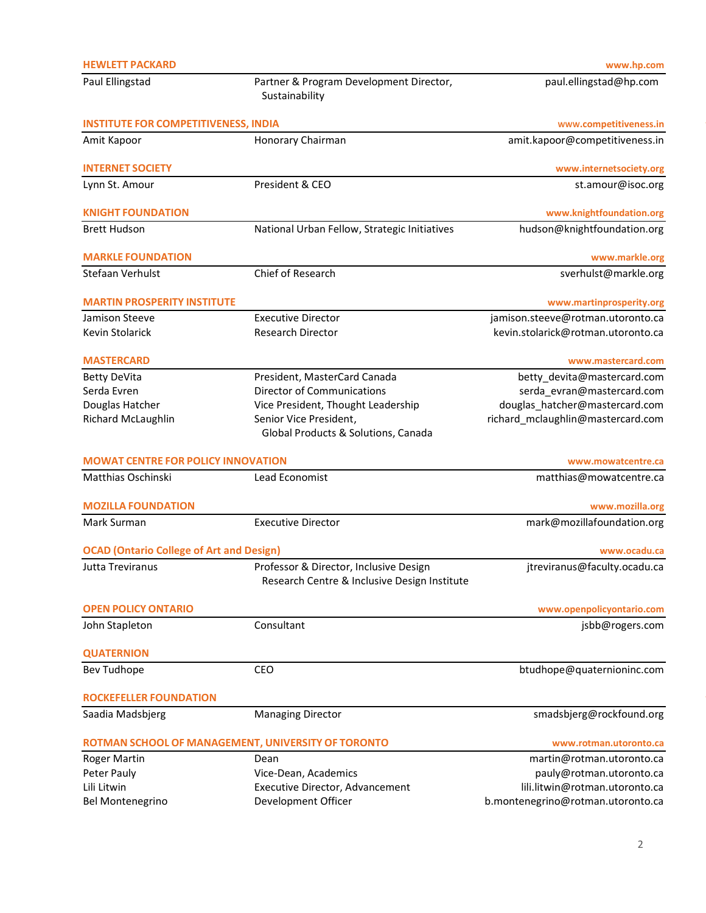| <b>HEWLETT PACKARD</b>                             |                                                                                        | www.hp.com                         |
|----------------------------------------------------|----------------------------------------------------------------------------------------|------------------------------------|
| Paul Ellingstad                                    | Partner & Program Development Director,<br>Sustainability                              | paul.ellingstad@hp.com             |
| <b>INSTITUTE FOR COMPETITIVENESS, INDIA</b>        |                                                                                        | www.competitiveness.in             |
| Amit Kapoor                                        | Honorary Chairman                                                                      | amit.kapoor@competitiveness.in     |
| <b>INTERNET SOCIETY</b>                            |                                                                                        | www.internetsociety.org            |
| Lynn St. Amour                                     | President & CEO                                                                        | st.amour@isoc.org                  |
| <b>KNIGHT FOUNDATION</b>                           |                                                                                        | www.knightfoundation.org           |
| <b>Brett Hudson</b>                                | National Urban Fellow, Strategic Initiatives                                           | hudson@knightfoundation.org        |
| <b>MARKLE FOUNDATION</b>                           |                                                                                        | www.markle.org                     |
| Stefaan Verhulst                                   | Chief of Research                                                                      | sverhulst@markle.org               |
| <b>MARTIN PROSPERITY INSTITUTE</b>                 |                                                                                        | www.martinprosperity.org           |
| Jamison Steeve                                     | <b>Executive Director</b>                                                              | jamison.steeve@rotman.utoronto.ca  |
| Kevin Stolarick                                    | <b>Research Director</b>                                                               | kevin.stolarick@rotman.utoronto.ca |
| <b>MASTERCARD</b>                                  |                                                                                        | www.mastercard.com                 |
| <b>Betty DeVita</b>                                | President, MasterCard Canada                                                           | betty_devita@mastercard.com        |
| Serda Evren                                        | Director of Communications                                                             | serda_evran@mastercard.com         |
| Douglas Hatcher                                    | Vice President, Thought Leadership                                                     | douglas_hatcher@mastercard.com     |
| Richard McLaughlin                                 | Senior Vice President,<br>Global Products & Solutions, Canada                          | richard_mclaughlin@mastercard.com  |
| <b>MOWAT CENTRE FOR POLICY INNOVATION</b>          |                                                                                        | www.mowatcentre.ca                 |
| Matthias Oschinski                                 | Lead Economist                                                                         | matthias@mowatcentre.ca            |
| <b>MOZILLA FOUNDATION</b>                          |                                                                                        | www.mozilla.org                    |
| Mark Surman                                        | <b>Executive Director</b>                                                              | mark@mozillafoundation.org         |
| <b>OCAD (Ontario College of Art and Design)</b>    |                                                                                        | www.ocadu.ca                       |
| Jutta Treviranus                                   | Professor & Director, Inclusive Design<br>Research Centre & Inclusive Design Institute | jtreviranus@faculty.ocadu.ca       |
| <b>OPEN POLICY ONTARIO</b>                         |                                                                                        | www.openpolicyontario.com          |
| John Stapleton                                     | Consultant                                                                             | jsbb@rogers.com                    |
| <b>QUATERNION</b>                                  |                                                                                        |                                    |
| <b>Bev Tudhope</b>                                 | CEO                                                                                    | btudhope@quaternioninc.com         |
| <b>ROCKEFELLER FOUNDATION</b>                      |                                                                                        |                                    |
| Saadia Madsbjerg                                   | <b>Managing Director</b>                                                               | smadsbjerg@rockfound.org           |
| ROTMAN SCHOOL OF MANAGEMENT, UNIVERSITY OF TORONTO |                                                                                        | www.rotman.utoronto.ca             |
| <b>Roger Martin</b>                                | Dean                                                                                   | martin@rotman.utoronto.ca          |
| Peter Pauly                                        | Vice-Dean, Academics                                                                   | pauly@rotman.utoronto.ca           |
| Lili Litwin                                        | Executive Director, Advancement                                                        | lili.litwin@rotman.utoronto.ca     |
| Bel Montenegrino                                   | Development Officer                                                                    | b.montenegrino@rotman.utoronto.ca  |
|                                                    |                                                                                        |                                    |